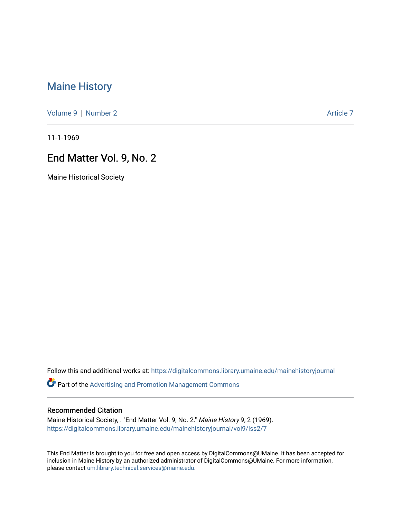## [Maine History](https://digitalcommons.library.umaine.edu/mainehistoryjournal)

[Volume 9](https://digitalcommons.library.umaine.edu/mainehistoryjournal/vol9) | [Number 2](https://digitalcommons.library.umaine.edu/mainehistoryjournal/vol9/iss2) Article 7

11-1-1969

## End Matter Vol. 9, No. 2

Maine Historical Society

Follow this and additional works at: [https://digitalcommons.library.umaine.edu/mainehistoryjournal](https://digitalcommons.library.umaine.edu/mainehistoryjournal?utm_source=digitalcommons.library.umaine.edu%2Fmainehistoryjournal%2Fvol9%2Fiss2%2F7&utm_medium=PDF&utm_campaign=PDFCoverPages) 

Part of the [Advertising and Promotion Management Commons](http://network.bepress.com/hgg/discipline/626?utm_source=digitalcommons.library.umaine.edu%2Fmainehistoryjournal%2Fvol9%2Fiss2%2F7&utm_medium=PDF&utm_campaign=PDFCoverPages) 

## Recommended Citation

Maine Historical Society, . "End Matter Vol. 9, No. 2." Maine History 9, 2 (1969). [https://digitalcommons.library.umaine.edu/mainehistoryjournal/vol9/iss2/7](https://digitalcommons.library.umaine.edu/mainehistoryjournal/vol9/iss2/7?utm_source=digitalcommons.library.umaine.edu%2Fmainehistoryjournal%2Fvol9%2Fiss2%2F7&utm_medium=PDF&utm_campaign=PDFCoverPages)

This End Matter is brought to you for free and open access by DigitalCommons@UMaine. It has been accepted for inclusion in Maine History by an authorized administrator of DigitalCommons@UMaine. For more information, please contact [um.library.technical.services@maine.edu.](mailto:um.library.technical.services@maine.edu)